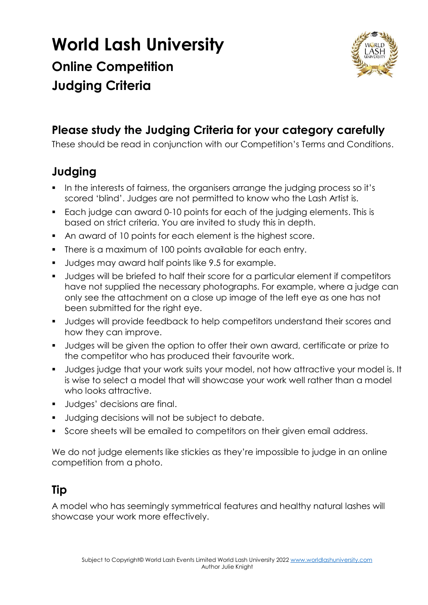## **World Lash University Online Competition Judging Criteria**



## **Please study the Judging Criteria for your category carefully**

These should be read in conjunction with our Competition's Terms and Conditions.

## **Judging**

- In the interests of fairness, the organisers arrange the judging process so it's scored 'blind'. Judges are not permitted to know who the Lash Artist is.
- Each judge can award 0-10 points for each of the judging elements. This is based on strict criteria. You are invited to study this in depth.
- An award of 10 points for each element is the highest score.
- **There is a maximum of 100 points available for each entry.**
- **Judges may award half points like 9.5 for example.**
- Judges will be briefed to half their score for a particular element if competitors have not supplied the necessary photographs. For example, where a judge can only see the attachment on a close up image of the left eye as one has not been submitted for the right eye.
- **Judges will provide feedback to help competitors understand their scores and** how they can improve.
- Judges will be given the option to offer their own award, certificate or prize to the competitor who has produced their favourite work.
- Judges judge that your work suits your model, not how attractive your model is. It is wise to select a model that will showcase your work well rather than a model who looks attractive.
- **Judges' decisions are final.**
- **Judging decisions will not be subject to debate.**
- Score sheets will be emailed to competitors on their given email address.

We do not judge elements like stickies as they're impossible to judge in an online competition from a photo.

## **Tip**

A model who has seemingly symmetrical features and healthy natural lashes will showcase your work more effectively.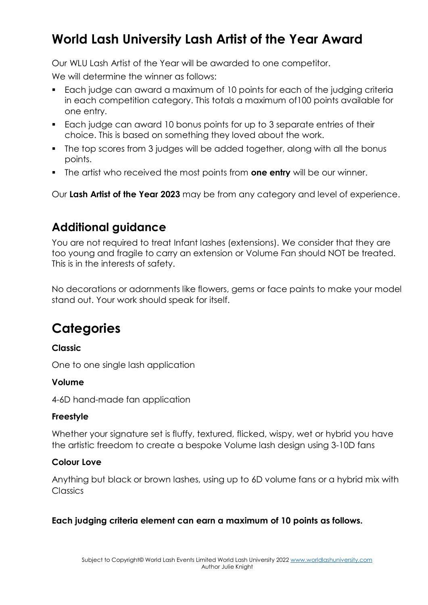## **World Lash University Lash Artist of the Year Award**

Our WLU Lash Artist of the Year will be awarded to one competitor.

We will determine the winner as follows:

- Each judge can award a maximum of 10 points for each of the judging criteria in each competition category. This totals a maximum of100 points available for one entry.
- Each judge can award 10 bonus points for up to 3 separate entries of their choice. This is based on something they loved about the work.
- The top scores from 3 judges will be added together, along with all the bonus points.
- The artist who received the most points from **one entry** will be our winner.

Our **Lash Artist of the Year 2023** may be from any category and level of experience.

### **Additional guidance**

You are not required to treat Infant lashes (extensions). We consider that they are too young and fragile to carry an extension or Volume Fan should NOT be treated. This is in the interests of safety.

No decorations or adornments like flowers, gems or face paints to make your model stand out. Your work should speak for itself.

## **Categories**

#### **Classic**

One to one single lash application

#### **Volume**

4-6D hand-made fan application

#### **Freestyle**

Whether your signature set is fluffy, textured, flicked, wispy, wet or hybrid you have the artistic freedom to create a bespoke Volume lash design using 3-10D fans

#### **Colour Love**

Anything but black or brown lashes, using up to 6D volume fans or a hybrid mix with **Classics** 

#### **Each judging criteria element can earn a maximum of 10 points as follows.**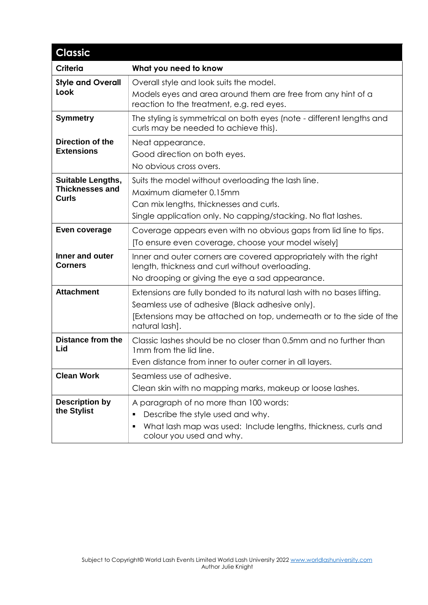| <b>Classic</b>                                     |                                                                                                                     |
|----------------------------------------------------|---------------------------------------------------------------------------------------------------------------------|
| <b>Criteria</b>                                    | What you need to know                                                                                               |
| <b>Style and Overall</b><br>Look                   | Overall style and look suits the model.                                                                             |
|                                                    | Models eyes and area around them are free from any hint of a<br>reaction to the treatment, e.g. red eyes.           |
| <b>Symmetry</b>                                    | The styling is symmetrical on both eyes (note - different lengths and<br>curls may be needed to achieve this).      |
| <b>Direction of the</b><br><b>Extensions</b>       | Neat appearance.                                                                                                    |
|                                                    | Good direction on both eyes.                                                                                        |
|                                                    | No obvious cross overs.                                                                                             |
| <b>Suitable Lengths,</b><br><b>Thicknesses and</b> | Suits the model without overloading the lash line.                                                                  |
| <b>Curls</b>                                       | Maximum diameter 0.15mm                                                                                             |
|                                                    | Can mix lengths, thicknesses and curls.<br>Single application only. No capping/stacking. No flat lashes.            |
|                                                    |                                                                                                                     |
| Even coverage                                      | Coverage appears even with no obvious gaps from lid line to tips.                                                   |
|                                                    | [To ensure even coverage, choose your model wisely]                                                                 |
| Inner and outer<br><b>Corners</b>                  | Inner and outer corners are covered appropriately with the right<br>length, thickness and curl without overloading. |
|                                                    | No drooping or giving the eye a sad appearance.                                                                     |
| <b>Attachment</b>                                  | Extensions are fully bonded to its natural lash with no bases lifting.                                              |
|                                                    | Seamless use of adhesive (Black adhesive only).                                                                     |
|                                                    | [Extensions may be attached on top, underneath or to the side of the<br>natural lash].                              |
| <b>Distance from the</b><br>Lid                    | Classic lashes should be no closer than 0.5mm and no further than<br>1mm from the lid line.                         |
|                                                    | Even distance from inner to outer corner in all layers.                                                             |
| <b>Clean Work</b>                                  | Seamless use of adhesive.                                                                                           |
|                                                    | Clean skin with no mapping marks, makeup or loose lashes.                                                           |
| <b>Description by</b><br>the Stylist               | A paragraph of no more than 100 words:                                                                              |
|                                                    | Describe the style used and why.                                                                                    |
|                                                    | What lash map was used: Include lengths, thickness, curls and<br>colour you used and why.                           |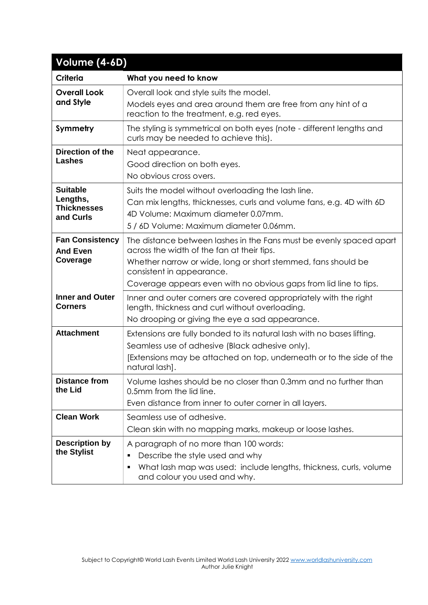| Volume (4-6D)                                                  |                                                                                                                                                                                                                                                                                      |  |
|----------------------------------------------------------------|--------------------------------------------------------------------------------------------------------------------------------------------------------------------------------------------------------------------------------------------------------------------------------------|--|
| <b>Criteria</b>                                                | What you need to know                                                                                                                                                                                                                                                                |  |
| <b>Overall Look</b><br>and Style                               | Overall look and style suits the model.<br>Models eyes and area around them are free from any hint of a<br>reaction to the treatment, e.g. red eyes.                                                                                                                                 |  |
| Symmetry                                                       | The styling is symmetrical on both eyes (note - different lengths and<br>curls may be needed to achieve this).                                                                                                                                                                       |  |
| <b>Direction of the</b><br><b>Lashes</b>                       | Neat appearance.<br>Good direction on both eyes.<br>No obvious cross overs.                                                                                                                                                                                                          |  |
| <b>Suitable</b><br>Lengths,<br><b>Thicknesses</b><br>and Curls | Suits the model without overloading the lash line.<br>Can mix lengths, thicknesses, curls and volume fans, e.g. 4D with 6D<br>4D Volume: Maximum diameter 0.07mm.<br>5 / 6D Volume: Maximum diameter 0.06mm.                                                                         |  |
| <b>Fan Consistency</b><br><b>And Even</b><br>Coverage          | The distance between lashes in the Fans must be evenly spaced apart<br>across the width of the fan at their tips.<br>Whether narrow or wide, long or short stemmed, fans should be<br>consistent in appearance.<br>Coverage appears even with no obvious gaps from lid line to tips. |  |
| <b>Inner and Outer</b><br><b>Corners</b>                       | Inner and outer corners are covered appropriately with the right<br>length, thickness and curl without overloading.<br>No drooping or giving the eye a sad appearance.                                                                                                               |  |
| <b>Attachment</b>                                              | Extensions are fully bonded to its natural lash with no bases lifting.<br>Seamless use of adhesive (Black adhesive only).<br>[Extensions may be attached on top, underneath or to the side of the<br>natural lash].                                                                  |  |
| <b>Distance from</b><br>the Lid                                | Volume lashes should be no closer than 0.3mm and no further than<br>0.5mm from the lid line.<br>Even distance from inner to outer corner in all layers.                                                                                                                              |  |
| <b>Clean Work</b>                                              | Seamless use of adhesive.<br>Clean skin with no mapping marks, makeup or loose lashes.                                                                                                                                                                                               |  |
| <b>Description by</b><br>the Stylist                           | A paragraph of no more than 100 words:<br>Describe the style used and why<br>٠<br>What lash map was used: include lengths, thickness, curls, volume<br>٠<br>and colour you used and why.                                                                                             |  |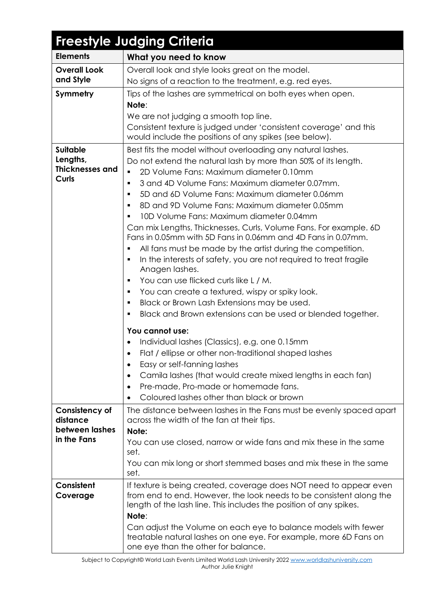| <b>Freestyle Judging Criteria</b>                                                     |                                                                                                                                                                                                                                                                                                                                                                                                                                                                                                                                                                                                                                                                                                                                                                                                                                                                                                                                                                                                             |  |
|---------------------------------------------------------------------------------------|-------------------------------------------------------------------------------------------------------------------------------------------------------------------------------------------------------------------------------------------------------------------------------------------------------------------------------------------------------------------------------------------------------------------------------------------------------------------------------------------------------------------------------------------------------------------------------------------------------------------------------------------------------------------------------------------------------------------------------------------------------------------------------------------------------------------------------------------------------------------------------------------------------------------------------------------------------------------------------------------------------------|--|
| <b>Elements</b>                                                                       | What you need to know                                                                                                                                                                                                                                                                                                                                                                                                                                                                                                                                                                                                                                                                                                                                                                                                                                                                                                                                                                                       |  |
| <b>Overall Look</b>                                                                   | Overall look and style looks great on the model.                                                                                                                                                                                                                                                                                                                                                                                                                                                                                                                                                                                                                                                                                                                                                                                                                                                                                                                                                            |  |
| and Style                                                                             | No signs of a reaction to the treatment, e.g. red eyes.                                                                                                                                                                                                                                                                                                                                                                                                                                                                                                                                                                                                                                                                                                                                                                                                                                                                                                                                                     |  |
| Symmetry                                                                              | Tips of the lashes are symmetrical on both eyes when open.<br>Note:<br>We are not judging a smooth top line.<br>Consistent texture is judged under 'consistent coverage' and this                                                                                                                                                                                                                                                                                                                                                                                                                                                                                                                                                                                                                                                                                                                                                                                                                           |  |
| <b>Suitable</b><br>Lengths,<br><b>Thicknesses and</b><br><b>Curls</b>                 | would include the positions of any spikes (see below).<br>Best fits the model without overloading any natural lashes.<br>Do not extend the natural lash by more than 50% of its length.<br>2D Volume Fans: Maximum diameter 0.10mm<br>3 and 4D Volume Fans: Maximum diameter 0.07mm.<br>٠<br>5D and 6D Volume Fans: Maximum diameter 0.06mm<br>$\blacksquare$<br>8D and 9D Volume Fans: Maximum diameter 0.05mm<br>٠<br>10D Volume Fans: Maximum diameter 0.04mm<br>Can mix Lengths, Thicknesses, Curls, Volume Fans. For example. 6D<br>Fans in 0.05mm with 5D Fans in 0.06mm and 4D Fans in 0.07mm.<br>All fans must be made by the artist during the competition.<br>In the interests of safety, you are not required to treat fragile<br>٠<br>Anagen lashes.<br>You can use flicked curls like L / M.<br>$\blacksquare$<br>You can create a textured, wispy or spiky look.<br>٠<br>Black or Brown Lash Extensions may be used.<br>٠<br>Black and Brown extensions can be used or blended together.<br>٠ |  |
|                                                                                       | You cannot use:<br>Individual lashes (Classics), e.g. one 0.15mm<br>Flat / ellipse or other non-traditional shaped lashes<br>$\bullet$<br>Easy or self-fanning lashes<br>٠<br>Camila lashes (that would create mixed lengths in each fan)<br>$\bullet$<br>Pre-made, Pro-made or homemade fans.<br>$\bullet$<br>Coloured lashes other than black or brown<br>$\bullet$                                                                                                                                                                                                                                                                                                                                                                                                                                                                                                                                                                                                                                       |  |
| Consistency of<br>distance<br>between lashes<br>in the Fans<br>Consistent<br>Coverage | The distance between lashes in the Fans must be evenly spaced apart<br>across the width of the fan at their tips.<br>Note:<br>You can use closed, narrow or wide fans and mix these in the same<br>set.<br>You can mix long or short stemmed bases and mix these in the same<br>set.<br>If texture is being created, coverage does NOT need to appear even<br>from end to end. However, the look needs to be consistent along the                                                                                                                                                                                                                                                                                                                                                                                                                                                                                                                                                                           |  |
|                                                                                       | length of the lash line. This includes the position of any spikes.<br>Note:<br>Can adjust the Volume on each eye to balance models with fewer<br>treatable natural lashes on one eye. For example, more 6D Fans on<br>one eye than the other for balance.                                                                                                                                                                                                                                                                                                                                                                                                                                                                                                                                                                                                                                                                                                                                                   |  |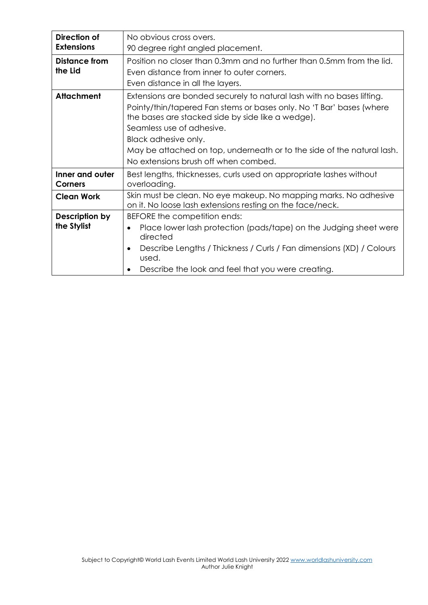| Direction of<br><b>Extensions</b> | No obvious cross overs.<br>90 degree right angled placement.                                                                                                                                                                                                                                                                                                              |
|-----------------------------------|---------------------------------------------------------------------------------------------------------------------------------------------------------------------------------------------------------------------------------------------------------------------------------------------------------------------------------------------------------------------------|
| <b>Distance from</b><br>the Lid   | Position no closer than 0.3mm and no further than 0.5mm from the lid.<br>Even distance from inner to outer corners.<br>Even distance in all the layers.                                                                                                                                                                                                                   |
| <b>Attachment</b>                 | Extensions are bonded securely to natural lash with no bases lifting.<br>Pointy/thin/tapered Fan stems or bases only. No 'T Bar' bases (where<br>the bases are stacked side by side like a wedge).<br>Seamless use of adhesive.<br>Black adhesive only.<br>May be attached on top, underneath or to the side of the natural lash.<br>No extensions brush off when combed. |
| Inner and outer<br>Corners        | Best lengths, thicknesses, curls used on appropriate lashes without<br>overloading.                                                                                                                                                                                                                                                                                       |
| <b>Clean Work</b>                 | Skin must be clean. No eye makeup. No mapping marks. No adhesive<br>on it. No loose lash extensions resting on the face/neck.                                                                                                                                                                                                                                             |
| Description by<br>the Stylist     | BEFORE the competition ends:<br>Place lower lash protection (pads/tape) on the Judging sheet were<br>$\bullet$<br>directed<br>Describe Lengths / Thickness / Curls / Fan dimensions (XD) / Colours<br>$\bullet$<br>used.<br>Describe the look and feel that you were creating.                                                                                            |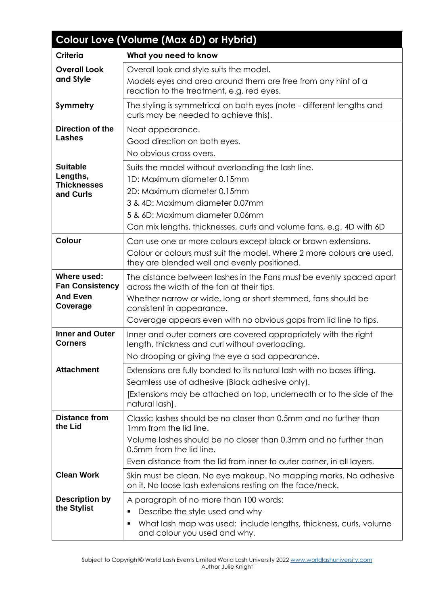| Colour Love (Volume (Max 6D) or Hybrid)                              |                                                                                                                                                                                                                                                                                      |  |
|----------------------------------------------------------------------|--------------------------------------------------------------------------------------------------------------------------------------------------------------------------------------------------------------------------------------------------------------------------------------|--|
| <b>Criteria</b>                                                      | What you need to know                                                                                                                                                                                                                                                                |  |
| <b>Overall Look</b><br>and Style                                     | Overall look and style suits the model.<br>Models eyes and area around them are free from any hint of a<br>reaction to the treatment, e.g. red eyes.                                                                                                                                 |  |
| Symmetry                                                             | The styling is symmetrical on both eyes (note - different lengths and<br>curls may be needed to achieve this).                                                                                                                                                                       |  |
| Direction of the<br><b>Lashes</b>                                    | Neat appearance.<br>Good direction on both eyes.<br>No obvious cross overs.                                                                                                                                                                                                          |  |
| <b>Suitable</b><br>Lengths,<br><b>Thicknesses</b><br>and Curls       | Suits the model without overloading the lash line.<br>1D: Maximum diameter 0.15mm<br>2D: Maximum diameter 0.15mm<br>3 & 4D: Maximum diameter 0.07mm<br>5 & 6D: Maximum diameter 0.06mm<br>Can mix lengths, thicknesses, curls and volume fans, e.g. 4D with 6D                       |  |
| Colour                                                               | Can use one or more colours except black or brown extensions.<br>Colour or colours must suit the model. Where 2 more colours are used,<br>they are blended well and evenly positioned.                                                                                               |  |
| Where used:<br><b>Fan Consistency</b><br><b>And Even</b><br>Coverage | The distance between lashes in the Fans must be evenly spaced apart<br>across the width of the fan at their tips.<br>Whether narrow or wide, long or short stemmed, fans should be<br>consistent in appearance.<br>Coverage appears even with no obvious gaps from lid line to tips. |  |
| <b>Inner and Outer</b><br><b>Corners</b>                             | Inner and outer corners are covered appropriately with the right<br>length, thickness and curl without overloading.<br>No drooping or giving the eye a sad appearance.                                                                                                               |  |
| <b>Attachment</b>                                                    | Extensions are fully bonded to its natural lash with no bases lifting.<br>Seamless use of adhesive (Black adhesive only).<br>[Extensions may be attached on top, underneath or to the side of the<br>natural lash].                                                                  |  |
| <b>Distance from</b><br>the Lid                                      | Classic lashes should be no closer than 0.5mm and no further than<br>1mm from the lid line.<br>Volume lashes should be no closer than 0.3mm and no further than<br>0.5mm from the lid line.<br>Even distance from the lid from inner to outer corner, in all layers.                 |  |
| <b>Clean Work</b>                                                    | Skin must be clean. No eye makeup. No mapping marks. No adhesive<br>on it. No loose lash extensions resting on the face/neck.                                                                                                                                                        |  |
| <b>Description by</b><br>the Stylist                                 | A paragraph of no more than 100 words:<br>Describe the style used and why<br>٠<br>What lash map was used: include lengths, thickness, curls, volume<br>٠<br>and colour you used and why.                                                                                             |  |